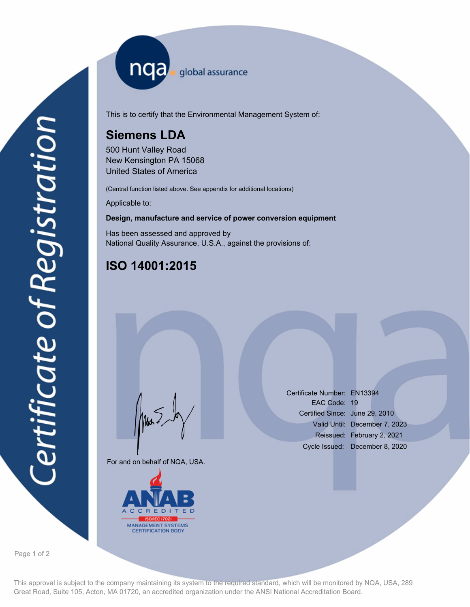nqa <sub>global assurance</sub>

This is to certify that the Environmental Management System of:

# **Siemens LDA**

500 Hunt Valley Road New Kensington PA 15068 United States of America

(Central function listed above. See appendix for additional locations)

Applicable to:

#### **Design, manufacture and service of power conversion equipment**

Has been assessed and approved by National Quality Assurance, U.S.A., against the provisions of:

## **ISO 14001:2015**

For and on behalf of NQA, USA.

Mus



Certificate Number: EN13394 EAC Code: 19 Certified Since: June 29, 2010 Valid Until: December 7, 2023 Reissued: February 2, 2021 Cycle Issued: December 8, 2020

Page 1 of 2

This approval is subject to the company maintaining its system to the required standard, which will be monitored by NQA, USA, 289 Great Road, Suite 105, Acton, MA 01720, an accredited organization under the ANSI National Accreditation Board.